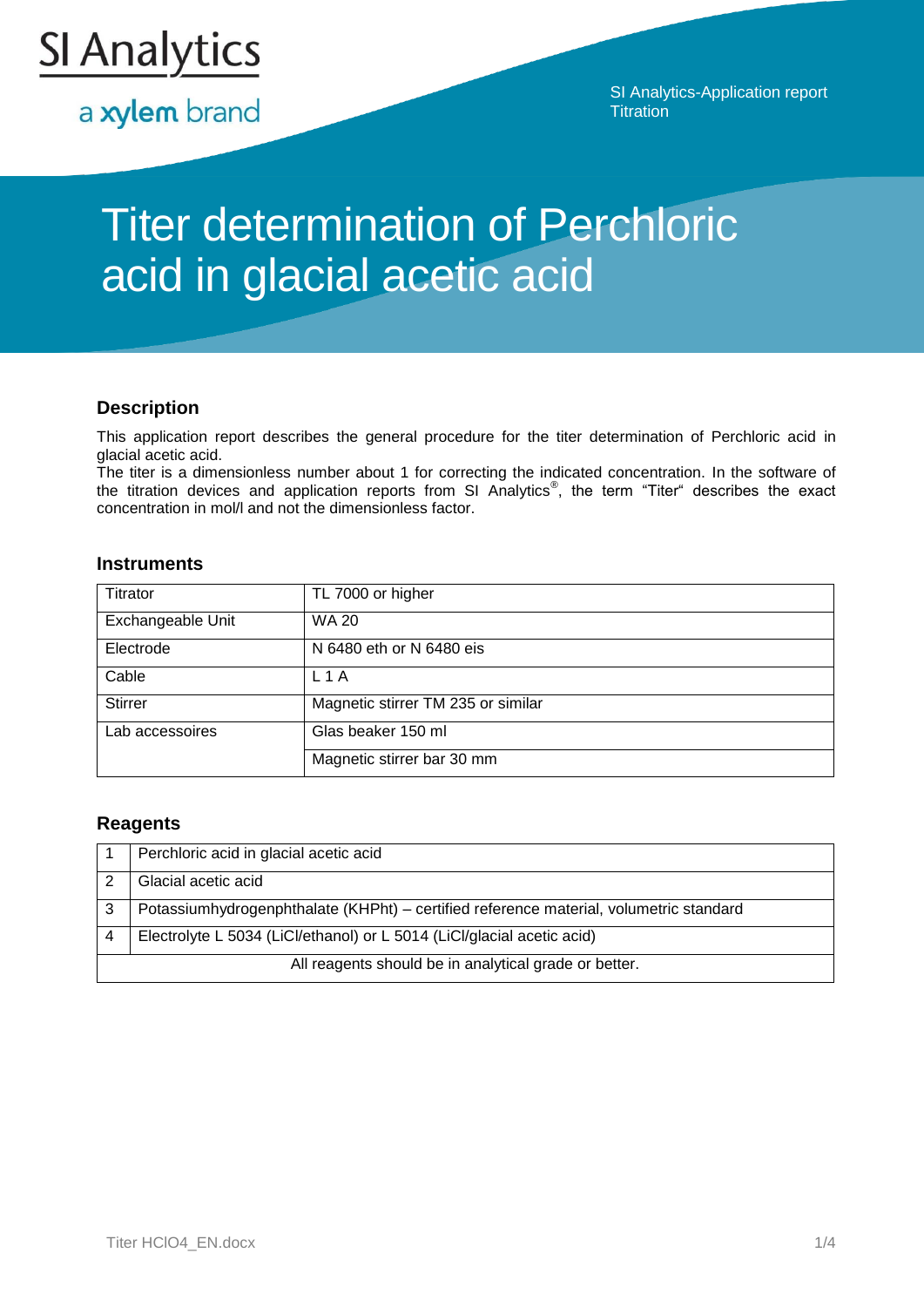

a xylem brand

SI Analytics-Application report **Titration** 

# Titer determination of Perchloric acid in glacial acetic acid

## **Description**

This application report describes the general procedure for the titer determination of Perchloric acid in glacial acetic acid.

The titer is a dimensionless number about 1 for correcting the indicated concentration. In the software of the titration devices and application reports from SI Analytics<sup>®</sup>, the term "Titer" describes the exact concentration in mol/l and not the dimensionless factor.

## **Instruments**

| Titrator          | TL 7000 or higher                  |
|-------------------|------------------------------------|
| Exchangeable Unit | <b>WA 20</b>                       |
| Electrode         | N 6480 eth or N 6480 eis           |
| Cable             | L1A                                |
| <b>Stirrer</b>    | Magnetic stirrer TM 235 or similar |
| Lab accessoires   | Glas beaker 150 ml                 |
|                   | Magnetic stirrer bar 30 mm         |

## **Reagents**

| Perchloric acid in glacial acetic acid                                                 |
|----------------------------------------------------------------------------------------|
| Glacial acetic acid                                                                    |
| Potassiumhydrogenphthalate (KHPht) - certified reference material, volumetric standard |
| Electrolyte L 5034 (LiCl/ethanol) or L 5014 (LiCl/glacial acetic acid)                 |
| All reagents should be in analytical grade or better.                                  |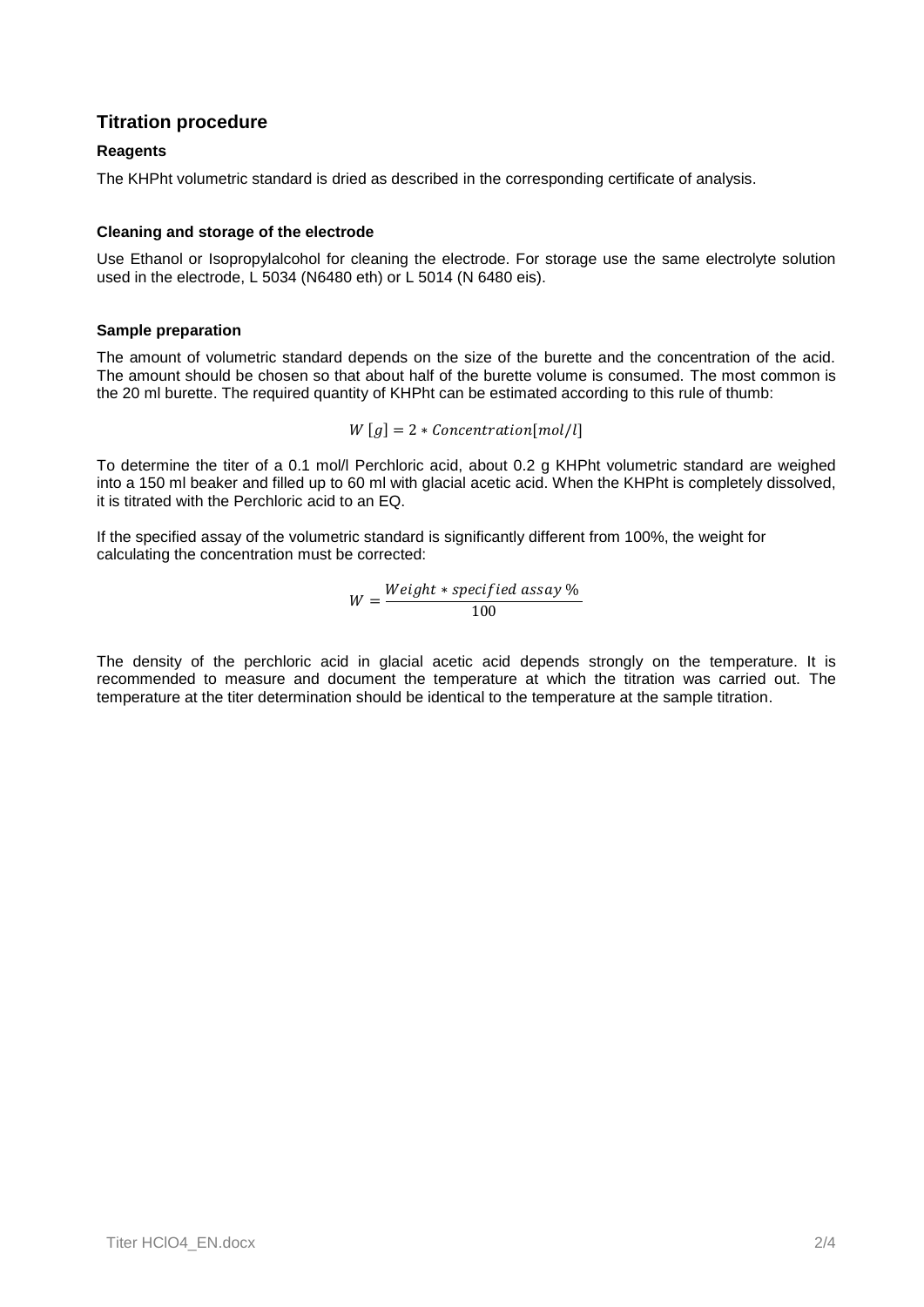## **Titration procedure**

## **Reagents**

The KHPht volumetric standard is dried as described in the corresponding certificate of analysis.

## **Cleaning and storage of the electrode**

Use Ethanol or Isopropylalcohol for cleaning the electrode. For storage use the same electrolyte solution used in the electrode, L 5034 (N6480 eth) or L 5014 (N 6480 eis).

### **Sample preparation**

The amount of volumetric standard depends on the size of the burette and the concentration of the acid. The amount should be chosen so that about half of the burette volume is consumed. The most common is the 20 ml burette. The required quantity of KHPht can be estimated according to this rule of thumb:

$$
W[g] = 2 * \text{Concentration}[mol/l]
$$

To determine the titer of a 0.1 mol/l Perchloric acid, about 0.2 g KHPht volumetric standard are weighed into a 150 ml beaker and filled up to 60 ml with glacial acetic acid. When the KHPht is completely dissolved, it is titrated with the Perchloric acid to an EQ.

If the specified assay of the volumetric standard is significantly different from 100%, the weight for calculating the concentration must be corrected:

$$
W = \frac{Weight * specified \; assay \; \%}{100}
$$

The density of the perchloric acid in glacial acetic acid depends strongly on the temperature. It is recommended to measure and document the temperature at which the titration was carried out. The temperature at the titer determination should be identical to the temperature at the sample titration.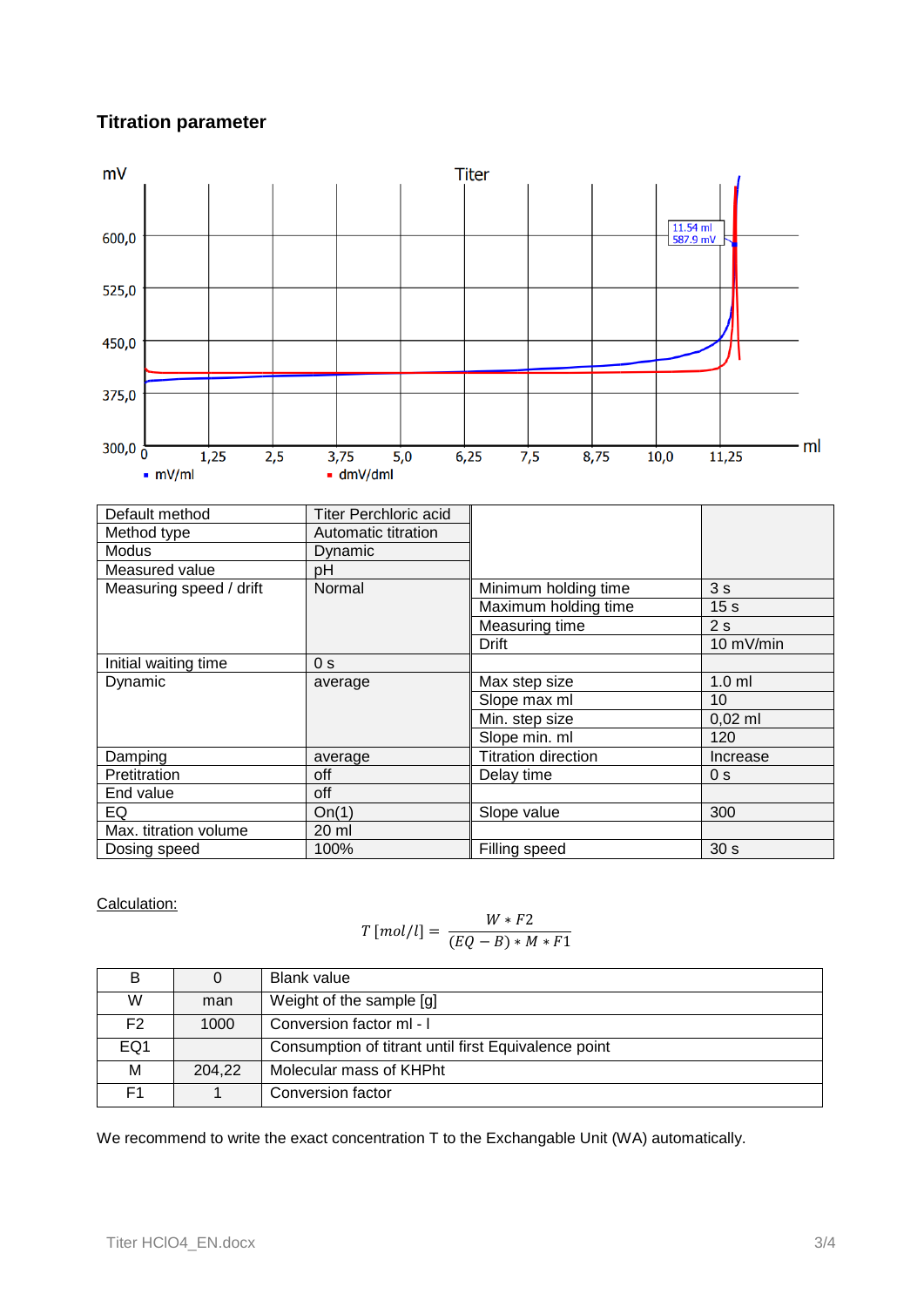## **Titration parameter**



Calculation:

$$
T\left[mol/l\right] = \frac{W * F2}{(EQ - B) * M * F1}
$$

|                 |        | <b>Blank value</b>                                   |
|-----------------|--------|------------------------------------------------------|
| W               | man    | Weight of the sample [g]                             |
| F2.             | 1000   | Conversion factor ml - I                             |
| EQ <sub>1</sub> |        | Consumption of titrant until first Equivalence point |
| м               | 204,22 | Molecular mass of KHPht                              |
| F1              |        | Conversion factor                                    |

We recommend to write the exact concentration T to the Exchangable Unit (WA) automatically.